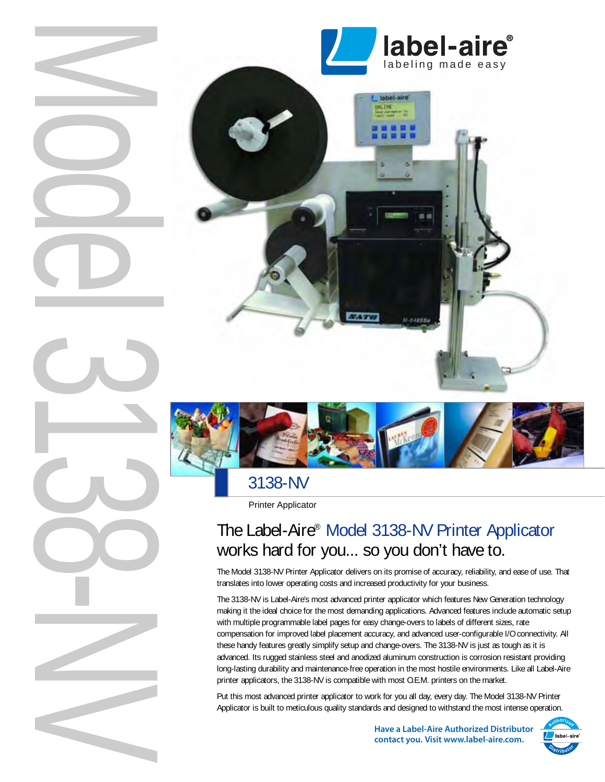

# 3138-NV

Printer Applicator

# The Label-Aire® Model 3138-NV Printer Applicator works hard for you... so you don't have to.

The Model 3138-NV Printer Applicator delivers on its promise of accuracy, reliability, and ease of use. That translates into lower operating costs and increased productivity for your business.

The 3138-NV is Label-Aire's most advanced printer applicator which features New Generation technology making it the ideal choice for the most demanding applications. Advanced features include automatic setup with multiple programmable label pages for easy change-overs to labels of different sizes, rate compensation for improved label placement accuracy, and advanced user-configurable I/O connectivity. All these handy features greatly simplify setup and change-overs. The 3138-NV is just as tough as it is advanced. Its rugged stainless steel and anodized aluminum construction is corrosion resistant providing long-lasting durability and maintenance-free operation in the most hostile environments. Like all Label-Aire printer applicators, the 3138-NV is compatible with most O.E.M. printers on the market.

Put this most advanced printer applicator to work for you all day, every day. The Model 3138-NV Printer Applicator is built to meticulous quality standards and designed to withstand the most intense operation.

> **Have a Label-Aire Authorized Distributor contact you. Visit www.label-aire.com.**